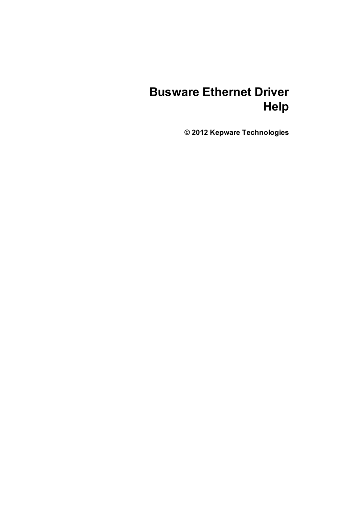# **Busware Ethernet Driver Help**

**© 2012 Kepware Technologies**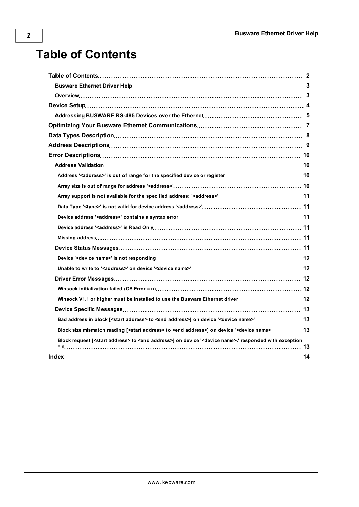# <span id="page-1-0"></span>**Table of Contents**

| Bad address in block [ <start address=""> to <end address="">] on device '<device name="">' 13</device></end></start>                 |  |
|---------------------------------------------------------------------------------------------------------------------------------------|--|
| Block size mismatch reading [ <start address=""> to <end address="">] on device '<device name=""> 13</device></end></start>           |  |
| Block request [ <start address=""> to <end address="">] on device '<device name="">.' responded with exception</device></end></start> |  |
|                                                                                                                                       |  |
|                                                                                                                                       |  |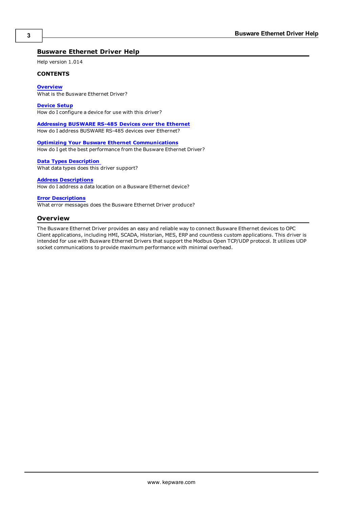# <span id="page-2-0"></span>**Busware Ethernet Driver Help**

Help version 1.014

#### **CONTENTS**

**[Overview](#page-2-1)**

What is the Busware Ethernet Driver?

**[Device](#page-3-0) [Setup](#page-3-0)**

How do I configure a device for use with this driver?

#### **[Addressing](#page-4-0) [BUSWARE](#page-4-0) [RS-485](#page-4-0) [Devices](#page-4-0) [over](#page-4-0) [the](#page-4-0) [Ethernet](#page-4-0)**

How do I address BUSWARE RS-485 devices over Ethernet?

**[Optimizing](#page-6-0) [Your](#page-6-0) [Busware](#page-6-0) [Ethernet](#page-6-0) [Communications](#page-6-0)** How do I get the best performance from the Busware Ethernet Driver?

**[Data](#page-7-0) [Types](#page-7-0) [Description](#page-7-0)**

What data types does this driver support?

#### **[Address](#page-8-0) [Descriptions](#page-8-0)**

How do I address a data location on a Busware Ethernet device?

#### **[Error](#page-9-0) [Descriptions](#page-9-0)**

<span id="page-2-1"></span>What error messages does the Busware Ethernet Driver produce?

#### **Overview**

The Busware Ethernet Driver provides an easy and reliable way to connect Busware Ethernet devices to OPC Client applications, including HMI, SCADA, Historian, MES, ERP and countless custom applications. This driver is intended for use with Busware Ethernet Drivers that support the Modbus Open TCP/UDP protocol. It utilizes UDP socket communications to provide maximum performance with minimal overhead.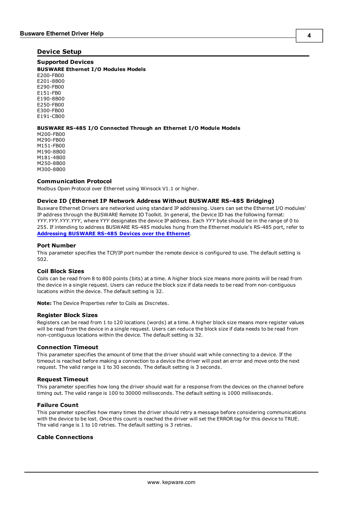#### <span id="page-3-0"></span>**Device Setup**

#### **Supported Devices**

**BUSWARE Ethernet I/O Modules Models** E200-FB00 E201-8B00 E290-FB00 E151-FB0 E190-8B00 E250-FB00 E300-FB00 E191-CB00

**BUSWARE RS-485 I/O Connected Through an Ethernet I/O Module Models**

M200-FB00 M290-FB00 M151-FB00 M190-8B00 M181-4B00 M250-8B00 M300-8B00

#### **Communication Protocol**

<span id="page-3-2"></span>Modbus Open Protocol over Ethernet using Winsock V1.1 or higher.

#### **Device ID (Ethernet IP Network Address Without BUSWARE RS-485 Bridging)**

Busware Ethernet Drivers are networked using standard IP addressing. Users can set the Ethernet I/O modules' IP address through the BUSWARE Remote IO Toolkit. In general, the Device ID has the following format: *YYY.YYY.YYY.YYY*, where *YYY* designates the device IP address. Each *YYY* byte should be in the range of 0 to 255. If intending to address BUSWARE RS-485 modules hung from the Ethernet module's RS-485 port, refer to **[Addressing](#page-4-0) [BUSWARE](#page-4-0) [RS-485](#page-4-0) [Devices](#page-4-0) [over](#page-4-0) [the](#page-4-0) [Ethernet](#page-4-0)**.

#### **Port Number**

This parameter specifies the TCP/IP port number the remote device is configured to use. The default setting is 502.

#### <span id="page-3-1"></span>**Coil Block Sizes**

Coils can be read from 8 to 800 points (bits) at a time. A higher block size means more points will be read from the device in a single request. Users can reduce the block size if data needs to be read from non-contiguous locations within the device. The default setting is 32.

**Note:** The Device Properties refer to Coils as Discretes.

#### **Register Block Sizes**

Registers can be read from 1 to 120 locations (words) at a time. A higher block size means more register values will be read from the device in a single request. Users can reduce the block size if data needs to be read from non-contiguous locations within the device. The default setting is 32.

#### **Connection Timeout**

This parameter specifies the amount of time that the driver should wait while connecting to a device. If the timeout is reached before making a connection to a device the driver will post an error and move onto the next request. The valid range is 1 to 30 seconds. The default setting is 3 seconds.

#### **Request Timeout**

This parameter specifies how long the driver should wait for a response from the devices on the channel before timing out. The valid range is 100 to 30000 milliseconds. The default setting is 1000 milliseconds.

#### **Failure Count**

This parameter specifies how many times the driver should retry a message before considering communications with the device to be lost. Once this count is reached the driver will set the ERROR tag for this device to TRUE. The valid range is 1 to 10 retries. The default setting is 3 retries.

#### **Cable Connections**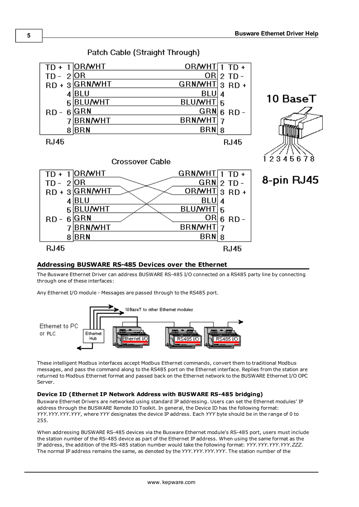

# Patch Cable (Straight Through)

# <span id="page-4-0"></span>**Addressing BUSWARE RS-485 Devices over the Ethernet**

The Busware Ethernet Driver can address BUSWARE RS-485 I/O connected on a RS485 party line by connecting through one of these interfaces:

Any Ethernet I/O module - Messages are passed through to the RS485 port.



These intelligent Modbus interfaces accept Modbus Ethernet commands, convert them to traditional Modbus messages, and pass the command along to the RS485 port on the Ethernet interface. Replies from the station are returned to Modbus Ethernet format and passed back on the Ethernet network to the BUSWARE Ethernet I/O OPC Server.

# **Device ID (Ethernet IP Network Address with BUSWARE RS-485 bridging)**

Busware Ethernet Drivers are networked using standard IP addressing. Users can set the Ethernet modules' IP address through the BUSWARE Remote IO Toolkit. In general, the Device ID has the following format: *YYY.YYY.YYY.YYY*, where *YYY* designates the device IP address. Each *YYY* byte should be in the range of 0 to 255.

When addressing BUSWARE RS-485 devices via the Busware Ethernet module's RS-485 port, users must include the station number of the RS-485 device as part of the Ethernet IP address. When using the same format as the IP address, the addition of the RS-485 station number would take the following format: *YYY.YYY.YYY.YYY.ZZZ*. The normal IP address remains the same, as denoted by the *YYY.YYY.YYY.YYY*. The station number of the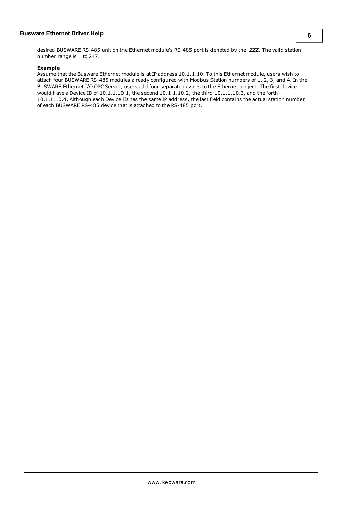**6**

desired BUSWARE RS-485 unit on the Ethernet module's RS-485 port is denoted by the *.ZZZ*. The valid station number range is 1 to 247.

#### **Example**

Assume that the Busware Ethernet module is at IP address 10.1.1.10. To this Ethernet module, users wish to attach four BUSWARE RS-485 modules already configured with Modbus Station numbers of 1, 2, 3, and 4. In the BUSWARE Ethernet I/O OPC Server, users add four separate devices to the Ethernet project. The first device would have a Device ID of 10.1.1.10.1, the second 10.1.1.10.2, the third 10.1.1.10.3, and the forth 10.1.1.10.4. Although each Device ID has the same IP address, the last field contains the actual station number of each BUSWARE RS-485 device that is attached to the RS-485 port.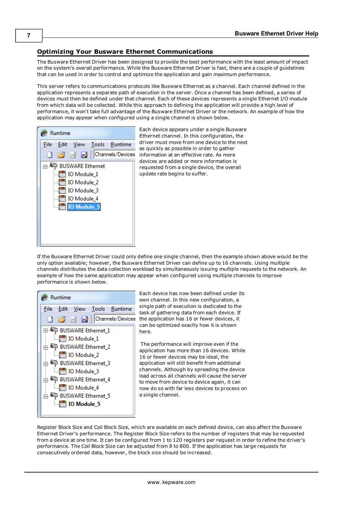# <span id="page-6-0"></span>**Optimizing Your Busware Ethernet Communications**

The Busware Ethernet Driver has been designed to provide the best performance with the least amount of impact on the system's overall performance. While the Busware Ethernet Driver is fast, there are a couple of guidelines that can be used in order to control and optimize the application and gain maximum performance.

This server refers to communications protocols like Busware Ethernet as a channel. Each channel defined in the application represents a separate path of execution in the server. Once a channel has been defined, a series of devices must then be defined under that channel. Each of these devices represents a single Ethernet I/O module from which data will be collected. While this approach to defining the application will provide a high level of performance, it won't take full advantage of the Busware Ethernet Driver or the network. An example of how the application may appear when configured using a single channel is shown below.



Each device appears under a single Busware Ethernet channel. In this configuration, the driver must move from one device to the next as quickly as possible in order to gather information at an effective rate. As more devices are added or more information is requested from a single device, the overall update rate begins to suffer.

If the Busware Ethernet Driver could only define one single channel, then the example shown above would be the only option available; however, the Busware Ethernet Driver can define up to 16 channels. Using multiple channels distributes the data collection workload by simultaneously issuing multiple requests to the network. An example of how the same application may appear when configured using multiple channels to improve performance is shown below.



Each device has now been defined under its own channel. In this new configuration, a single path of execution is dedicated to the task of gathering data from each device. If the application has 16 or fewer devices, it can be optimized exactly how it is shown here.

The performance will improve even if the application has more than 16 devices. While 16 or fewer devices may be ideal, the application will still benefit from additional channels. Although by spreading the device load across all channels will cause the server to move from device to device again, it can now do so with far less devices to process on a single channel.

Register Block Size and Coil Block Size, which are available on each defined device, can also affect the Busware Ethernet Driver's performance. The Register Block Size refers to the number of registers that may be requested from a device at one time. It can be configured from 1 to 120 registers per request in order to refine the driver's performance. The Coil Block Size can be adjusted from 8 to 800. If the application has large requests for consecutively ordered data, however, the block size should be increased.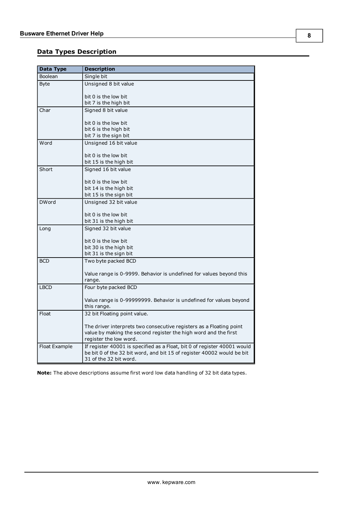# <span id="page-7-0"></span>**Data Types Description**

<span id="page-7-8"></span><span id="page-7-7"></span><span id="page-7-3"></span><span id="page-7-2"></span>

| <b>Data Type</b> | <b>Description</b>                                                       |
|------------------|--------------------------------------------------------------------------|
| Boolean          | Single bit                                                               |
| <b>Byte</b>      | Unsigned 8 bit value                                                     |
|                  |                                                                          |
|                  | bit 0 is the low bit                                                     |
|                  | bit 7 is the high bit                                                    |
| Char             | Signed 8 bit value                                                       |
|                  | bit 0 is the low bit                                                     |
|                  | bit 6 is the high bit                                                    |
|                  | bit 7 is the sign bit                                                    |
| Word             | Unsigned 16 bit value                                                    |
|                  |                                                                          |
|                  | bit 0 is the low bit                                                     |
|                  | bit 15 is the high bit                                                   |
| Short            | Signed 16 bit value                                                      |
|                  |                                                                          |
|                  | bit 0 is the low bit                                                     |
|                  | bit 14 is the high bit                                                   |
|                  | bit 15 is the sign bit                                                   |
| <b>DWord</b>     | Unsigned 32 bit value                                                    |
|                  | bit 0 is the low bit                                                     |
|                  | bit 31 is the high bit                                                   |
| Long             | Signed 32 bit value                                                      |
|                  |                                                                          |
|                  | bit 0 is the low bit                                                     |
|                  | bit 30 is the high bit                                                   |
|                  | bit 31 is the sign bit                                                   |
| <b>BCD</b>       | Two byte packed BCD                                                      |
|                  |                                                                          |
|                  | Value range is 0-9999. Behavior is undefined for values beyond this      |
|                  | range.                                                                   |
| <b>LBCD</b>      | Four byte packed BCD                                                     |
|                  | Value range is 0-99999999. Behavior is undefined for values beyond       |
|                  | this range.                                                              |
| Float            | 32 bit Floating point value.                                             |
|                  |                                                                          |
|                  | The driver interprets two consecutive registers as a Floating point      |
|                  | value by making the second register the high word and the first          |
|                  | register the low word.                                                   |
| Float Example    | If register 40001 is specified as a Float, bit 0 of register 40001 would |
|                  | be bit 0 of the 32 bit word, and bit 15 of register 40002 would be bit   |
|                  | 31 of the 32 bit word.                                                   |

<span id="page-7-6"></span><span id="page-7-5"></span><span id="page-7-4"></span><span id="page-7-1"></span>**Note:** The above descriptions assume first word low data handling of 32 bit data types.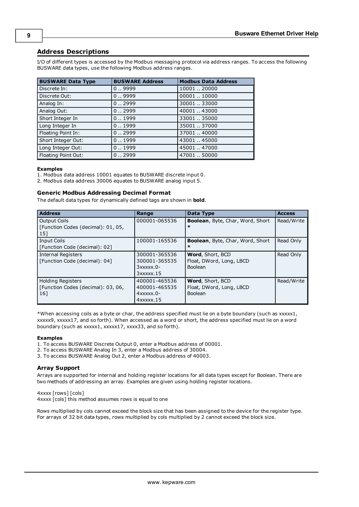# <span id="page-8-0"></span>**Address Descriptions**

I/O of different types is accessed by the Modbus messaging protocol via address ranges. To access the following BUSWARE data types, use the following Modbus address ranges.

| <b>BUSWARE Data Type</b> | <b>BUSWARE Address</b> | <b>Modbus Data Address</b> |
|--------------------------|------------------------|----------------------------|
| Discrete In:             | 0.9999                 | 1000120000                 |
| Discrete Out:            | 0.9999                 | 00001.10000                |
| Analog In:               | 0.0.2999               | 3000133000                 |
| Analog Out:              | 0.0.2999               | 40001.43000                |
| Short Integer In         | 0.1999                 | 33001.35000                |
| Long Integer In          | 0.1999                 | 3500137000                 |
| Floating Point In:       | 0.0.2999               | 37001.40000                |
| Short Integer Out:       | 0.1999                 | 43001.45000                |
| Long Integer Out:        | 0.1999                 | 45001.47000                |
| Floating Point Out:      | 0.0.2999               | 4700150000                 |

#### **Examples**

1. Modbus data address 10001 equates to BUSWARE discrete input 0.

2. Modbus data address 30006 equates to BUSWARE analog input 5.

#### **Generic Modbus Addressing Decimal Format**

The default data types for dynamically defined tags are shown in **bold**.

<span id="page-8-2"></span><span id="page-8-1"></span>

| <b>Address</b>                                                        | Range                                                                       | Data Type                                                      | <b>Access</b> |
|-----------------------------------------------------------------------|-----------------------------------------------------------------------------|----------------------------------------------------------------|---------------|
| Output Coils<br>[Function Codes (decimal): 01, 05,<br>  15]           | 000001-065536                                                               | <b>Boolean, Byte, Char, Word, Short</b><br>$\ast$              | Read/Write    |
| Input Coils<br>[Function Code (decimal): 02]                          | 100001-165536                                                               | <b>Boolean, Byte, Char, Word, Short</b><br>$\ast$              | Read Only     |
| Internal Registers<br>[Function Code (decimal): 04]                   | 300001-365536<br>300001-365535<br>$3x$ $xx$ $x$ $0$ -<br>$3x$ $xx$ $x$ $15$ | Word, Short, BCD<br>Float, DWord, Long, LBCD<br>Boolean        | Read Only     |
| <b>Holding Registers</b><br>[Function Codes (decimal): 03, 06,<br>161 | 400001-465536<br>400001-465535<br>$4x$ xxxx $.0-$<br>$4x$ $xx$ $x$ $x$ $15$ | Word, Short, BCD<br>Float, DWord, Long, LBCD<br><b>Boolean</b> | Read/Write    |

\*When accessing coils as a byte or char, the address specified must lie on a byte boundary (such as xxxxx1, xxxxx9, xxxxx17, and so forth). When accessed as a word or short, the address specified must lie on a word boundary (such as xxxxx1, xxxxx17, xxxx33, and so forth).

#### **Examples**

1. To access BUSWARE Discrete Output 0, enter a Modbus address of 00001.

- 2. To access BUSWARE Analog In 3, enter a Modbus address of 30004.
- 3. To access BUSWARE Analog Out 2, enter a Modbus address of 40003.

#### **Array Support**

Arrays are supported for internal and holding register locations for all data types except for Boolean. There are two methods of addressing an array. Examples are given using holding register locations.

4xxxx [rows] [cols] 4xxxx [cols] this method assumes rows is equal to one

Rows multiplied by cols cannot exceed the block size that has been assigned to the device for the register type. For arrays of 32 bit data types, rows multiplied by cols multiplied by 2 cannot exceed the block size.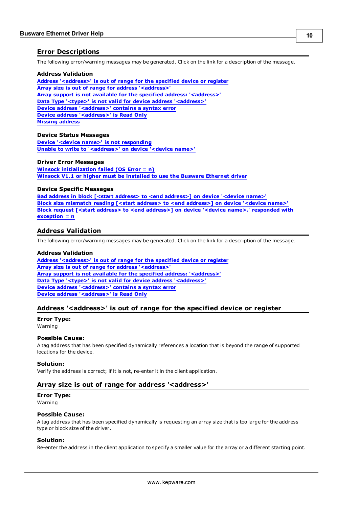## <span id="page-9-0"></span>**Error Descriptions**

The following error/warning messages may be generated. Click on the link for a description of the message.

#### **Address Validation**

**[Address](#page-9-2) ['<address>'](#page-9-2) [is](#page-9-2) [out](#page-9-2) [of](#page-9-2) [range](#page-9-2) [for](#page-9-2) [the](#page-9-2) [specified](#page-9-2) [device](#page-9-2) [or](#page-9-2) [register](#page-9-2) [Array](#page-9-3) [size](#page-9-3) [is](#page-9-3) [out](#page-9-3) [of](#page-9-3) [range](#page-9-3) [for](#page-9-3) [address](#page-9-3) ['<address>'](#page-9-3) [Array](#page-10-0) [support](#page-10-0) [is](#page-10-0) [not](#page-10-0) [available](#page-10-0) [for](#page-10-0) [the](#page-10-0) [specified](#page-10-0) [address:](#page-10-0) ['<address>'](#page-10-0) [Data](#page-10-1) [Type](#page-10-1) ['<type>'](#page-10-1) [is](#page-10-1) [not](#page-10-1) [valid](#page-10-1) [for](#page-10-1) [device](#page-10-1) [address](#page-10-1) ['<address>'](#page-10-1) [Device](#page-10-2) [address](#page-10-2) ['<address>'](#page-10-2) [contains](#page-10-2) [a](#page-10-2) [syntax](#page-10-2) [error](#page-10-2) [Device](#page-10-3) [address](#page-10-3) ['<address>'](#page-10-3) [is](#page-10-3) [Read](#page-10-3) [Only](#page-10-3) [Missing](#page-10-4) [address](#page-10-4)**

#### **Device Status Messages**

**[Device](#page-11-0) ['<device](#page-11-0) [name>'](#page-11-0) [is](#page-11-0) [not](#page-11-0) [responding](#page-11-0) [Unable](#page-11-1) [to](#page-11-1) [write](#page-11-1) [to](#page-11-1) ['<address>'](#page-11-1) [on](#page-11-1) [device](#page-11-1) ['<device](#page-11-1) [name>'](#page-11-1)**

#### **Driver Error Messages**

**[Winsock](#page-11-3) [initialization](#page-11-3) [failed](#page-11-3) [\(OS](#page-11-3) [Error](#page-11-3) [=](#page-11-3) [n\)](#page-11-3) [Winsock](#page-11-4) [V1.1](#page-11-4) [or](#page-11-4) [higher](#page-11-4) [must](#page-11-4) [be](#page-11-4) [installed](#page-11-4) [to](#page-11-4) [use](#page-11-4) [the](#page-11-4) [Busware](#page-11-4) [Ethernet](#page-11-4) [driver](#page-11-4)**

#### **Device Specific Messages**

**[Bad](#page-12-1) [address](#page-12-1) [in](#page-12-1) [block](#page-12-1) [\[<start](#page-12-1) [address>](#page-12-1) [to](#page-12-1) [<end](#page-12-1) [address>\]](#page-12-1) [on](#page-12-1) [device](#page-12-1) ['<device](#page-12-1) [name>'](#page-12-1) [Block](#page-12-2) [size](#page-12-2) [mismatch](#page-12-2) [reading](#page-12-2) [\[<start](#page-12-2) [address>](#page-12-2) [to](#page-12-2) [<end](#page-12-2) [address>\]](#page-12-2) [on](#page-12-2) [device](#page-12-2) ['<device](#page-12-2) [name>'](#page-12-2) [Block](#page-12-3) [request](#page-12-3) [\[<start](#page-12-3) [address>](#page-12-3) [to](#page-12-3) [<end](#page-12-3) [address>\]](#page-12-3) [on](#page-12-3) [device](#page-12-3) ['<device](#page-12-3) [name>.'](#page-12-3) [responded](#page-12-3) [with](#page-12-3) [exception](#page-12-3) [=](#page-12-3) [n](#page-12-3)**

#### <span id="page-9-1"></span>**Address Validation**

The following error/warning messages may be generated. Click on the link for a description of the message.

#### **Address Validation**

**[Address](#page-9-2) ['<address>'](#page-9-2) [is](#page-9-2) [out](#page-9-2) [of](#page-9-2) [range](#page-9-2) [for](#page-9-2) [the](#page-9-2) [specified](#page-9-2) [device](#page-9-2) [or](#page-9-2) [register](#page-9-2) [Array](#page-9-3) [size](#page-9-3) [is](#page-9-3) [out](#page-9-3) [of](#page-9-3) [range](#page-9-3) [for](#page-9-3) [address](#page-9-3) ['<address>'](#page-9-3) [Array](#page-10-0) [support](#page-10-0) [is](#page-10-0) [not](#page-10-0) [available](#page-10-0) [for](#page-10-0) [the](#page-10-0) [specified](#page-10-0) [address:](#page-10-0) ['<address>'](#page-10-0) [Data](#page-10-1) [Type](#page-10-1) ['<type>'](#page-10-1) [is](#page-10-1) [not](#page-10-1) [valid](#page-10-1) [for](#page-10-1) [device](#page-10-1) [address](#page-10-1) ['<address>'](#page-10-1) [Device](#page-10-2) [address](#page-10-2) ['<address>'](#page-10-2) [contains](#page-10-2) [a](#page-10-2) [syntax](#page-10-2) [error](#page-10-2) [Device](#page-10-3) [address](#page-10-3) ['<address>'](#page-10-3) [is](#page-10-3) [Read](#page-10-3) [Only](#page-10-3)** 

### <span id="page-9-2"></span>**Address '<address>' is out of range for the specified device or register**

#### **Error Type:**

Warning

#### **Possible Cause:**

A tag address that has been specified dynamically references a location that is beyond the range of supported locations for the device.

#### **Solution:**

<span id="page-9-3"></span>Verify the address is correct; if it is not, re-enter it in the client application.

#### Array size is out of range for address '<address>'

# **Error Type:**

Warning

#### **Possible Cause:**

A tag address that has been specified dynamically is requesting an array size that is too large for the address type or block size of the driver.

#### **Solution:**

Re-enter the address in the client application to specify a smaller value for the array or a different starting point.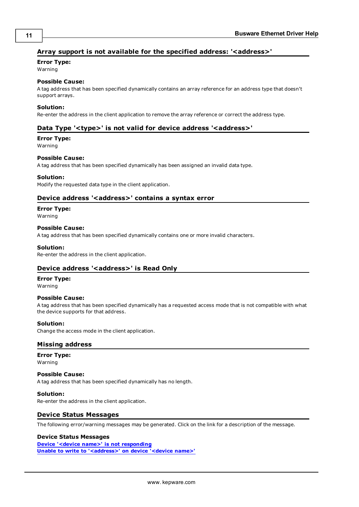# <span id="page-10-0"></span>Array support is not available for the specified address: '<address>'

## **Error Type:**

Warning

# **Possible Cause:**

A tag address that has been specified dynamically contains an array reference for an address type that doesn't support arrays.

#### **Solution:**

<span id="page-10-1"></span>Re-enter the address in the client application to remove the array reference or correct the address type.

## Data Type '<type>' is not valid for device address '<address>'

# **Error Type:**

Warning

#### **Possible Cause:**

A tag address that has been specified dynamically has been assigned an invalid data type.

### **Solution:**

<span id="page-10-2"></span>Modify the requested data type in the client application.

# Device address '<address>' contains a syntax error

#### **Error Type:**

Warning

#### **Possible Cause:**

A tag address that has been specified dynamically contains one or more invalid characters.

#### **Solution:**

<span id="page-10-3"></span>Re-enter the address in the client application.

### **Device address '<address>' is Read Only**

#### **Error Type:**

Warning

#### **Possible Cause:**

A tag address that has been specified dynamically has a requested access mode that is not compatible with what the device supports for that address.

### **Solution:**

<span id="page-10-4"></span>Change the access mode in the client application.

### **Missing address**

**Error Type:** Warning

### **Possible Cause:**

A tag address that has been specified dynamically has no length.

#### **Solution:**

<span id="page-10-5"></span>Re-enter the address in the client application.

### **Device Status Messages**

The following error/warning messages may be generated. Click on the link for a description of the message.

#### **Device Status Messages**

**[Device](#page-11-0) ['<device](#page-11-0) [name>'](#page-11-0) [is](#page-11-0) [not](#page-11-0) [responding](#page-11-0) [Unable](#page-11-1) [to](#page-11-1) [write](#page-11-1) [to](#page-11-1) ['<address>'](#page-11-1) [on](#page-11-1) [device](#page-11-1) ['<device](#page-11-1) [name>'](#page-11-1)**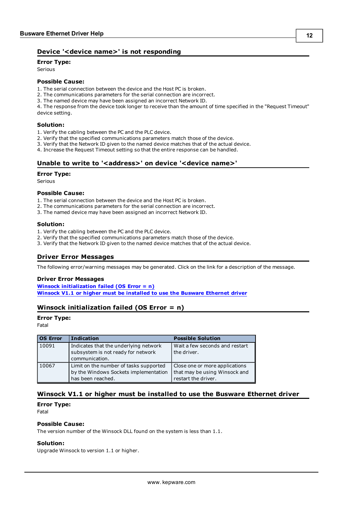# <span id="page-11-0"></span>**Device '<device name>' is not responding**

**Error Type:**

Serious

## **Possible Cause:**

1. The serial connection between the device and the Host PC is broken.

- 2. The communications parameters for the serial connection are incorrect.
- 3. The named device may have been assigned an incorrect Network ID.

4. The response from the device took longer to receive than the amount of time specified in the "Request Timeout" device setting.

#### **Solution:**

- 1. Verify the cabling between the PC and the PLC device.
- 2. Verify that the specified communications parameters match those of the device.
- 3. Verify that the Network ID given to the named device matches that of the actual device.
- <span id="page-11-1"></span>4. Increase the Request Timeout setting so that the entire response can be handled.

### Unable to write to '<address>' on device '<device name>'

#### **Error Type:**

Serious

#### **Possible Cause:**

- 1. The serial connection between the device and the Host PC is broken.
- 2. The communications parameters for the serial connection are incorrect.
- 3. The named device may have been assigned an incorrect Network ID.

#### **Solution:**

- 1. Verify the cabling between the PC and the PLC device.
- 2. Verify that the specified communications parameters match those of the device.
- <span id="page-11-2"></span>3. Verify that the Network ID given to the named device matches that of the actual device.

### **Driver Error Messages**

The following error/warning messages may be generated. Click on the link for a description of the message.

#### **Driver Error Messages**

**[Winsock](#page-11-3) [initialization](#page-11-3) [failed](#page-11-3) [\(OS](#page-11-3) [Error](#page-11-3) [=](#page-11-3) [n\)](#page-11-3) [Winsock](#page-11-4) [V1.1](#page-11-4) [or](#page-11-4) [higher](#page-11-4) [must](#page-11-4) [be](#page-11-4) [installed](#page-11-4) [to](#page-11-4) [use](#page-11-4) [the](#page-11-4) [Busware](#page-11-4) [Ethernet](#page-11-4) [driver](#page-11-4)**

# <span id="page-11-3"></span>**Winsock initialization failed (OS Error = n)**

#### **Error Type:**

Fatal

| <b>OS Error</b> | <b>Indication</b>                                                                                    | <b>Possible Solution</b>                                                               |
|-----------------|------------------------------------------------------------------------------------------------------|----------------------------------------------------------------------------------------|
| 10091           | Indicates that the underlying network<br>subsystem is not ready for network<br>communication.        | Wait a few seconds and restart<br>the driver.                                          |
| 10067           | Limit on the number of tasks supported<br>by the Windows Sockets implementation<br>has been reached. | Close one or more applications<br>that may be using Winsock and<br>restart the driver. |

# <span id="page-11-4"></span>**Winsock V1.1 or higher must be installed to use the Busware Ethernet driver**

#### **Error Type:**

Fatal

#### **Possible Cause:**

The version number of the Winsock DLL found on the system is less than 1.1.

#### **Solution:**

Upgrade Winsock to version 1.1 or higher.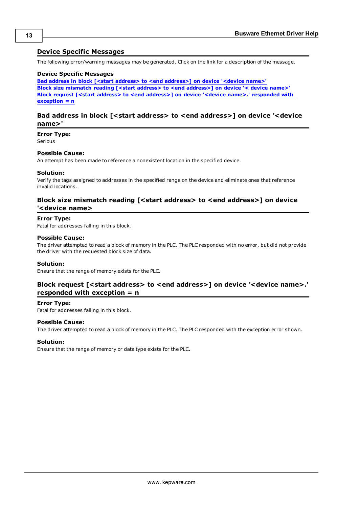## <span id="page-12-0"></span>**Device Specific Messages**

The following error/warning messages may be generated. Click on the link for a description of the message.

#### **Device Specific Messages**

**[Bad](#page-12-1) [address](#page-12-1) [in](#page-12-1) [block](#page-12-1) [\[<start](#page-12-1) [address>](#page-12-1) [to](#page-12-1) [<end](#page-12-1) [address>\]](#page-12-1) [on](#page-12-1) [device](#page-12-1) ['<device](#page-12-1) [name>'](#page-12-1) [Block](#page-12-2) [size](#page-12-2) [mismatch](#page-12-2) [reading](#page-12-2) [\[<start](#page-12-2) [address>](#page-12-2) [to](#page-12-2) [<end](#page-12-2) [address>\]](#page-12-2) [on](#page-12-2) [device](#page-12-2) ['<](#page-12-2) [device](#page-12-2) [name>'](#page-12-2) [Block](#page-12-3) [request](#page-12-3) [\[<start](#page-12-3) [address>](#page-12-3) [to](#page-12-3) [<end](#page-12-3) [address>\]](#page-12-3) [on](#page-12-3) [device](#page-12-3) ['<device](#page-12-3) [name>.'](#page-12-3) [responded](#page-12-3) [with](#page-12-3) [exception](#page-12-3) [=](#page-12-3) [n](#page-12-3)**

## <span id="page-12-1"></span>**Bad address in block [<start address> to <end address>] on device '<device name>'**

#### **Error Type:**

Serious

#### **Possible Cause:**

An attempt has been made to reference a nonexistent location in the specified device.

#### **Solution:**

Verify the tags assigned to addresses in the specified range on the device and eliminate ones that reference invalid locations.

# <span id="page-12-2"></span>**Block size mismatch reading [<start address> to <end address>] on device '<device name>**

#### **Error Type:**

Fatal for addresses falling in this block.

#### **Possible Cause:**

The driver attempted to read a block of memory in the PLC. The PLC responded with no error, but did not provide the driver with the requested block size of data.

#### **Solution:**

<span id="page-12-3"></span>Ensure that the range of memory exists for the PLC.

# Block request [<start address> to <end address>] on device '<device name>.' **responded with exception = n**

#### **Error Type:**

Fatal for addresses falling in this block.

#### **Possible Cause:**

The driver attempted to read a block of memory in the PLC. The PLC responded with the exception error shown.

## **Solution:**

Ensure that the range of memory or data type exists for the PLC.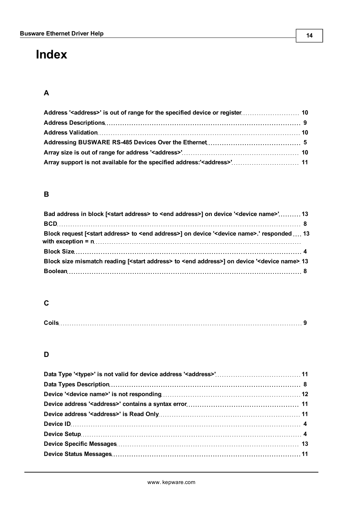# <span id="page-13-0"></span>**Index**

# **A**

# **B**

| Bad address in block [ <start address=""> to <end address="">] on device '<device name="">' 13</device></end></start>       |  |
|-----------------------------------------------------------------------------------------------------------------------------|--|
|                                                                                                                             |  |
| Block request [ <start address=""> to <end address="">] on device '<device name="">.' responded  13</device></end></start>  |  |
|                                                                                                                             |  |
| Block size mismatch reading [ <start address=""> to <end address="">] on device '<device name=""> 13</device></end></start> |  |
|                                                                                                                             |  |

# **C**

| $\sim$ il. |  |
|------------|--|
|------------|--|

# **D**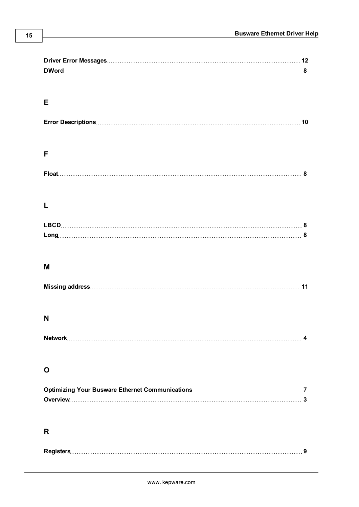| Е |    |
|---|----|
|   |    |
|   |    |
|   |    |
| F |    |
|   |    |
|   |    |
|   |    |
| L |    |
|   |    |
|   |    |
|   |    |
|   |    |
| M |    |
|   | 11 |
|   |    |
|   |    |
| N |    |
|   |    |
|   |    |
|   |    |
| O |    |
|   |    |
|   |    |
|   |    |
|   |    |
| R |    |
|   |    |